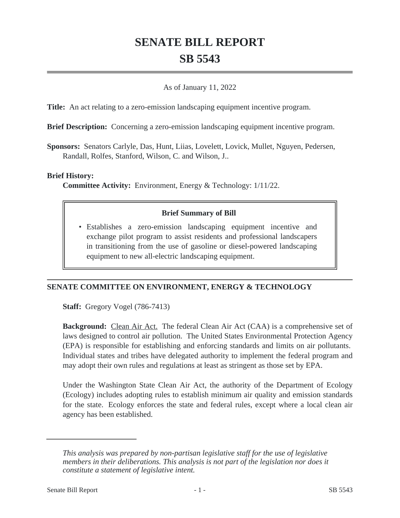# **SENATE BILL REPORT SB 5543**

#### As of January 11, 2022

**Title:** An act relating to a zero-emission landscaping equipment incentive program.

**Brief Description:** Concerning a zero-emission landscaping equipment incentive program.

**Sponsors:** Senators Carlyle, Das, Hunt, Liias, Lovelett, Lovick, Mullet, Nguyen, Pedersen, Randall, Rolfes, Stanford, Wilson, C. and Wilson, J..

#### **Brief History:**

**Committee Activity:** Environment, Energy & Technology: 1/11/22.

## **Brief Summary of Bill**

Establishes a zero-emission landscaping equipment incentive and • exchange pilot program to assist residents and professional landscapers in transitioning from the use of gasoline or diesel-powered landscaping equipment to new all-electric landscaping equipment.

## **SENATE COMMITTEE ON ENVIRONMENT, ENERGY & TECHNOLOGY**

**Staff:** Gregory Vogel (786-7413)

**Background:** Clean Air Act. The federal Clean Air Act (CAA) is a comprehensive set of laws designed to control air pollution. The United States Environmental Protection Agency (EPA) is responsible for establishing and enforcing standards and limits on air pollutants. Individual states and tribes have delegated authority to implement the federal program and may adopt their own rules and regulations at least as stringent as those set by EPA.

Under the Washington State Clean Air Act, the authority of the Department of Ecology (Ecology) includes adopting rules to establish minimum air quality and emission standards for the state. Ecology enforces the state and federal rules, except where a local clean air agency has been established.

*This analysis was prepared by non-partisan legislative staff for the use of legislative members in their deliberations. This analysis is not part of the legislation nor does it constitute a statement of legislative intent.*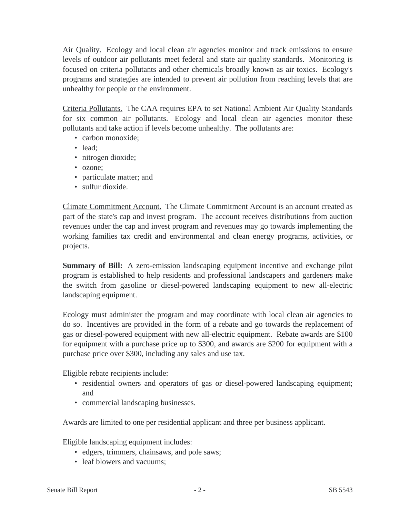Air Quality. Ecology and local clean air agencies monitor and track emissions to ensure levels of outdoor air pollutants meet federal and state air quality standards. Monitoring is focused on criteria pollutants and other chemicals broadly known as air toxics. Ecology's programs and strategies are intended to prevent air pollution from reaching levels that are unhealthy for people or the environment.

Criteria Pollutants. The CAA requires EPA to set National Ambient Air Quality Standards for six common air pollutants. Ecology and local clean air agencies monitor these pollutants and take action if levels become unhealthy. The pollutants are:

- carbon monoxide:
- lead:
- nitrogen dioxide;
- ozone;
- particulate matter; and
- sulfur dioxide.

Climate Commitment Account. The Climate Commitment Account is an account created as part of the state's cap and invest program. The account receives distributions from auction revenues under the cap and invest program and revenues may go towards implementing the working families tax credit and environmental and clean energy programs, activities, or projects.

**Summary of Bill:** A zero-emission landscaping equipment incentive and exchange pilot program is established to help residents and professional landscapers and gardeners make the switch from gasoline or diesel-powered landscaping equipment to new all-electric landscaping equipment.

Ecology must administer the program and may coordinate with local clean air agencies to do so. Incentives are provided in the form of a rebate and go towards the replacement of gas or diesel-powered equipment with new all-electric equipment. Rebate awards are \$100 for equipment with a purchase price up to \$300, and awards are \$200 for equipment with a purchase price over \$300, including any sales and use tax.

Eligible rebate recipients include:

- residential owners and operators of gas or diesel-powered landscaping equipment; and
- commercial landscaping businesses.

Awards are limited to one per residential applicant and three per business applicant.

Eligible landscaping equipment includes:

- edgers, trimmers, chainsaws, and pole saws;
- leaf blowers and vacuums: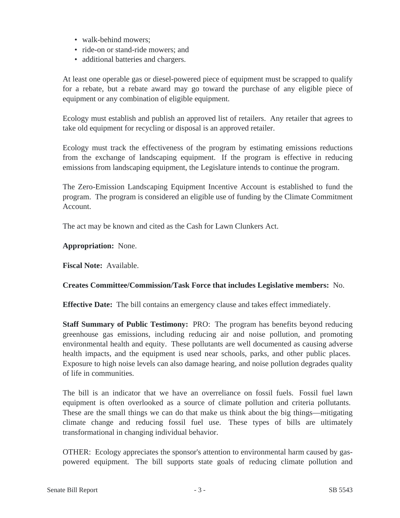- walk-behind mowers:
- ride-on or stand-ride mowers; and
- additional batteries and chargers.

At least one operable gas or diesel-powered piece of equipment must be scrapped to qualify for a rebate, but a rebate award may go toward the purchase of any eligible piece of equipment or any combination of eligible equipment.

Ecology must establish and publish an approved list of retailers. Any retailer that agrees to take old equipment for recycling or disposal is an approved retailer.

Ecology must track the effectiveness of the program by estimating emissions reductions from the exchange of landscaping equipment. If the program is effective in reducing emissions from landscaping equipment, the Legislature intends to continue the program.

The Zero-Emission Landscaping Equipment Incentive Account is established to fund the program. The program is considered an eligible use of funding by the Climate Commitment Account.

The act may be known and cited as the Cash for Lawn Clunkers Act.

## **Appropriation:** None.

**Fiscal Note:** Available.

## **Creates Committee/Commission/Task Force that includes Legislative members:** No.

**Effective Date:** The bill contains an emergency clause and takes effect immediately.

**Staff Summary of Public Testimony:** PRO: The program has benefits beyond reducing greenhouse gas emissions, including reducing air and noise pollution, and promoting environmental health and equity. These pollutants are well documented as causing adverse health impacts, and the equipment is used near schools, parks, and other public places. Exposure to high noise levels can also damage hearing, and noise pollution degrades quality of life in communities.

The bill is an indicator that we have an overreliance on fossil fuels. Fossil fuel lawn equipment is often overlooked as a source of climate pollution and criteria pollutants. These are the small things we can do that make us think about the big things—mitigating climate change and reducing fossil fuel use. These types of bills are ultimately transformational in changing individual behavior.

OTHER: Ecology appreciates the sponsor's attention to environmental harm caused by gaspowered equipment. The bill supports state goals of reducing climate pollution and